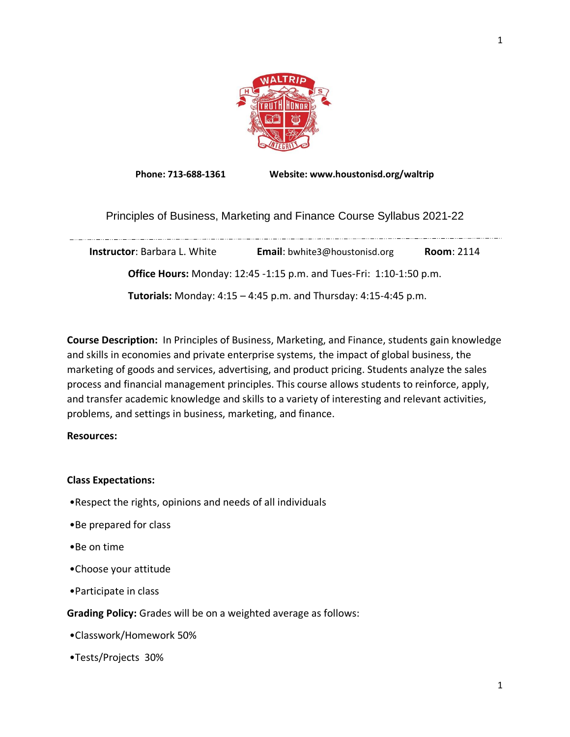

**Phone: 713-688-1361 Website: www.houstonisd.org/waltrip**

Principles of Business, Marketing and Finance Course Syllabus 2021-22

**Instructor**: Barbara L. White **Email**: bwhite3@houstonisd.org **Room**: 2114 **Office Hours:** Monday: 12:45 -1:15 p.m. and Tues-Fri: 1:10-1:50 p.m. **Tutorials:** Monday: 4:15 – 4:45 p.m. and Thursday: 4:15-4:45 p.m.

**Course Description:** In Principles of Business, Marketing, and Finance, students gain knowledge and skills in economies and private enterprise systems, the impact of global business, the marketing of goods and services, advertising, and product pricing. Students analyze the sales process and financial management principles. This course allows students to reinforce, apply, and transfer academic knowledge and skills to a variety of interesting and relevant activities, problems, and settings in business, marketing, and finance.

# **Resources:**

# **Class Expectations:**

- •Respect the rights, opinions and needs of all individuals
- •Be prepared for class
- •Be on time
- •Choose your attitude
- •Participate in class

**Grading Policy:** Grades will be on a weighted average as follows:

- •Classwork/Homework 50%
- •Tests/Projects 30%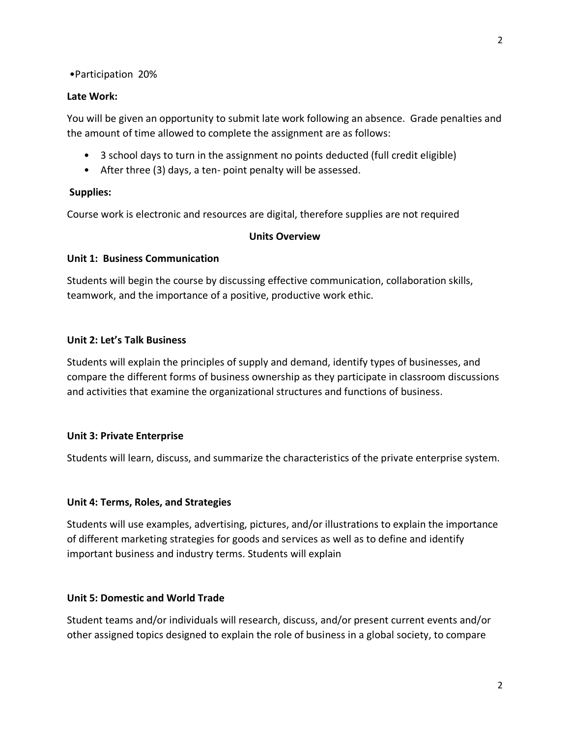#### •Participation 20%

### **Late Work:**

You will be given an opportunity to submit late work following an absence. Grade penalties and the amount of time allowed to complete the assignment are as follows:

- 3 school days to turn in the assignment no points deducted (full credit eligible)
- After three (3) days, a ten- point penalty will be assessed.

# **Supplies:**

Course work is electronic and resources are digital, therefore supplies are not required

### **Units Overview**

### **Unit 1: Business Communication**

Students will begin the course by discussing effective communication, collaboration skills, teamwork, and the importance of a positive, productive work ethic.

# **Unit 2: Let's Talk Business**

Students will explain the principles of supply and demand, identify types of businesses, and compare the different forms of business ownership as they participate in classroom discussions and activities that examine the organizational structures and functions of business.

#### **Unit 3: Private Enterprise**

Students will learn, discuss, and summarize the characteristics of the private enterprise system.

# **Unit 4: Terms, Roles, and Strategies**

Students will use examples, advertising, pictures, and/or illustrations to explain the importance of different marketing strategies for goods and services as well as to define and identify important business and industry terms. Students will explain

# **Unit 5: Domestic and World Trade**

Student teams and/or individuals will research, discuss, and/or present current events and/or other assigned topics designed to explain the role of business in a global society, to compare